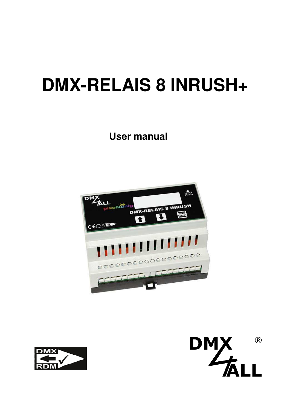# **DMX-RELAIS 8 INRUSH+**

**User manual** 





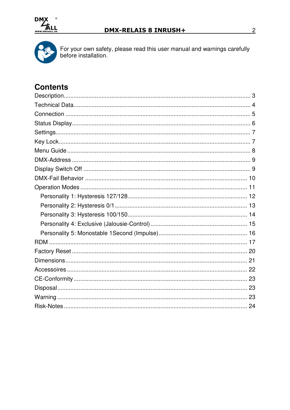



For your own safety, please read this user manual and warnings carefully before installation.

# **Contents**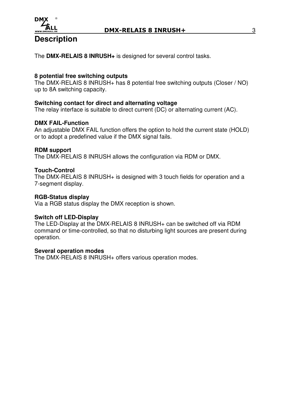

## **Description**

The **DMX-RELAIS 8 INRUSH+** is designed for several control tasks.

## **8 potential free switching outputs**

The DMX-RELAIS 8 INRUSH+ has 8 potential free switching outputs (Closer / NO) up to 8A switching capacity.

## **Switching contact for direct and alternating voltage**

The relay interface is suitable to direct current (DC) or alternating current (AC).

## **DMX FAIL-Function**

An adjustable DMX FAIL function offers the option to hold the current state (HOLD) or to adopt a predefined value if the DMX signal fails.

## **RDM support**

The DMX-RELAIS 8 INRUSH allows the configuration via RDM or DMX.

## **Touch-Control**

The DMX-RELAIS 8 INRUSH+ is designed with 3 touch fields for operation and a 7-segment display.

## **RGB-Status display**

Via a RGB status display the DMX reception is shown.

## **Switch off LED-Display**

The LED-Display at the DMX-RELAIS 8 INRUSH+ can be switched off via RDM command or time-controlled, so that no disturbing light sources are present during operation.

## **Several operation modes**

The DMX-RELAIS 8 INRUSH+ offers various operation modes.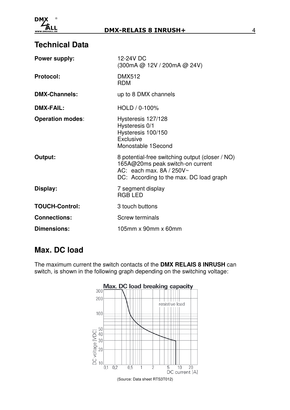

# **Technical Data**

| <b>Power supply:</b>    | 12-24V DC<br>(300mA @ 12V / 200mA @ 24V)                                                                                                                      |
|-------------------------|---------------------------------------------------------------------------------------------------------------------------------------------------------------|
| <b>Protocol:</b>        | <b>DMX512</b><br><b>RDM</b>                                                                                                                                   |
| <b>DMX-Channels:</b>    | up to 8 DMX channels                                                                                                                                          |
| <b>DMX-FAIL:</b>        | $HOLD / 0.100\%$                                                                                                                                              |
| <b>Operation modes:</b> | Hysteresis 127/128<br>Hysteresis 0/1<br>Hysteresis 100/150<br>Exclusive<br>Monostable 1 Second                                                                |
| Output:                 | 8 potential-free switching output (closer / NO)<br>165A@20ms peak switch-on current<br>AC: each max, $8A / 250V$ ~<br>DC: According to the max. DC load graph |
| Display:                | 7 segment display<br><b>RGB LED</b>                                                                                                                           |
| <b>TOUCH-Control:</b>   | 3 touch buttons                                                                                                                                               |
| <b>Connections:</b>     | <b>Screw terminals</b>                                                                                                                                        |
| <b>Dimensions:</b>      | 105mm x 90mm x 60mm                                                                                                                                           |

# **Max. DC load**

The maximum current the switch contacts of the **DMX RELAIS 8 INRUSH** can switch, is shown in the following graph depending on the switching voltage:

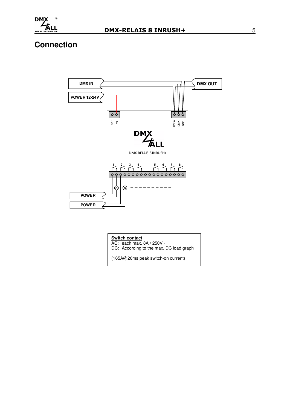

# **Connection**



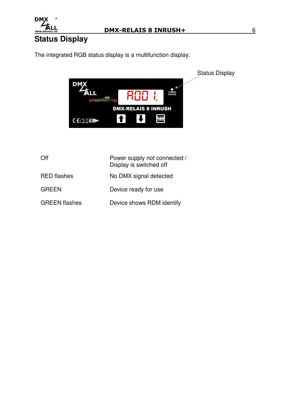

# **Status Display**

The integrated RGB status display is a multifunction display.



| Off                  | Power supply not connected /<br>Display is switched off |
|----------------------|---------------------------------------------------------|
| <b>RED</b> flashes   | No DMX signal detected                                  |
| <b>GREEN</b>         | Device ready for use                                    |
| <b>GREEN</b> flashes | Device shows RDM identify                               |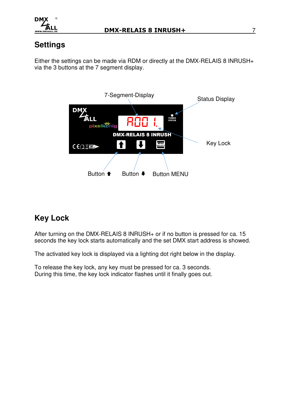

# **Settings**

Either the settings can be made via RDM or directly at the DMX-RELAIS 8 INRUSH+ via the 3 buttons at the 7 segment display.



# **Key Lock**

After turning on the DMX-RELAIS 8 INRUSH+ or if no button is pressed for ca. 15 seconds the key lock starts automatically and the set DMX start address is showed.

The activated key lock is displayed via a lighting dot right below in the display.

To release the key lock, any key must be pressed for ca. 3 seconds. During this time, the key lock indicator flashes until it finally goes out.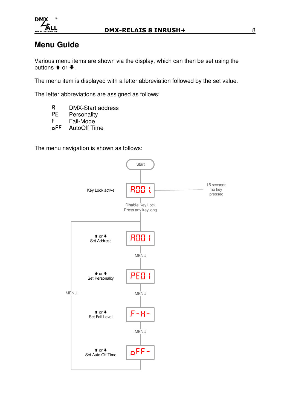

# **Menu Guide**

Various menu items are shown via the display, which can then be set using the buttons  $\triangle$  or  $\blacklozenge$ .

The menu item is displayed with a letter abbreviation followed by the set value.

The letter abbreviations are assigned as follows:

- R DMX-Start address<br>PE Personality
- PE Personality<br>F Fail-Mode
- F Fail-Mode<br>
oFF AutoOff Ti
- AutoOff Time

The menu navigation is shown as follows:

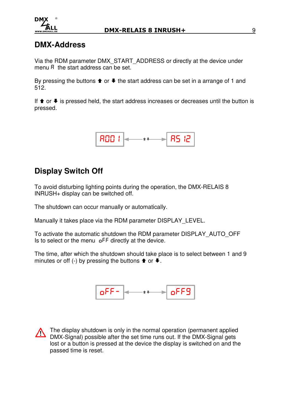

## **DMX-Address**

Via the RDM parameter DMX\_START\_ADDRESS or directly at the device under menu R the start address can be set.

By pressing the buttons  $\triangleq$  or  $\triangleq$  the start address can be set in a arrange of 1 and 512.

If  $\triangle$  or  $\blacktriangleright$  is pressed held, the start address increases or decreases until the button is pressed.



# **Display Switch Off**

To avoid disturbing lighting points during the operation, the DMX-RELAIS 8 INRUSH+ display can be switched off.

The shutdown can occur manually or automatically.

Manually it takes place via the RDM parameter DISPLAY\_LEVEL.

To activate the automatic shutdown the RDM parameter DISPLAY\_AUTO\_OFF Is to select or the menu oFF directly at the device.

The time, after which the shutdown should take place is to select between 1 and 9 minutes or off (-) by pressing the buttons  $\bullet$  or  $\bullet$ .



 $\wedge$ 

The display shutdown is only in the normal operation (permanent applied DMX-Signal) possible after the set time runs out. If the DMX-Signal gets lost or a button is pressed at the device the display is switched on and the passed time is reset.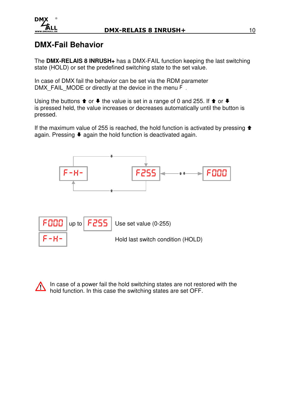

## **DMX-Fail Behavior**

The **DMX-RELAIS 8 INRUSH+** has a DMX-FAIL function keeping the last switching state (HOLD) or set the predefined switching state to the set value.

In case of DMX fail the behavior can be set via the RDM parameter DMX\_FAIL\_MODE or directly at the device in the menu F.

Using the buttons  $\triangleq$  or  $\triangleq$  the value is set in a range of 0 and 255. If  $\triangleq$  or  $\triangleq$ is pressed held, the value increases or decreases automatically until the button is pressed.

If the maximum value of 255 is reached, the hold function is activated by pressing  $\triangle$ again. Pressing  $\blacklozenge$  again the hold function is deactivated again.



In case of a power fail the hold switching states are not restored with the  $\triangle$ hold function. In this case the switching states are set OFF.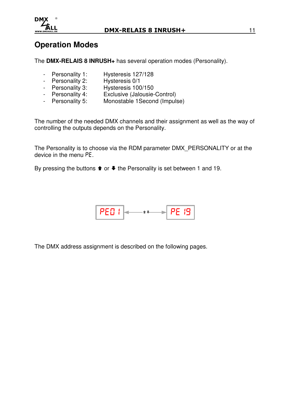

## **Operation Modes**

The **DMX-RELAIS 8 INRUSH+** has several operation modes (Personality).

- Personality 1: Hysteresis 127/128
- Personality 2: Hysteresis 0/1
- Personality 3: Hysteresis 100/150
- Personality 4: Exclusive (Jalousie-Control)
- Personality 5: Monostable 1 Second (Impulse)

The number of the needed DMX channels and their assignment as well as the way of controlling the outputs depends on the Personality.

The Personality is to choose via the RDM parameter DMX\_PERSONALITY or at the device in the menu PE.

By pressing the buttons  $\triangleq$  or  $\triangleq$  the Personality is set between 1 and 19.



The DMX address assignment is described on the following pages.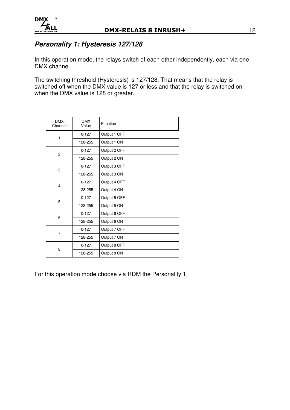## **Personality 1: Hysteresis 127/128**

In this operation mode, the relays switch of each other independently, each via one DMX channel.

The switching threshold (Hysteresis) is 127/128. That means that the relay is switched off when the DMX value is 127 or less and that the relay is switched on when the DMX value is 128 or greater.

| <b>DMX</b><br>Channel | <b>DMX</b><br>Value | Function     |
|-----------------------|---------------------|--------------|
| 1                     | $0 - 127$           | Output 1 OFF |
|                       | 128-255             | Output 1 ON  |
| 2                     | $0 - 127$           | Output 2 OFF |
|                       | 128-255             | Output 2 ON  |
| 3                     | $0 - 127$           | Output 3 OFF |
|                       | 128-255             | Output 3 ON  |
| 4                     | $0 - 127$           | Output 4 OFF |
|                       | 128-255             | Output 4 ON  |
| 5                     | $0 - 127$           | Output 5 OFF |
|                       | 128-255             | Output 5 ON  |
| 6                     | $0 - 127$           | Output 6 OFF |
|                       | 128-255             | Output 6 ON  |
| 7                     | $0 - 127$           | Output 7 OFF |
|                       | 128-255             | Output 7 ON  |
| 8                     | $0 - 127$           | Output 8 OFF |
|                       | 128-255             | Output 8 ON  |

For this operation mode choose via RDM the Personality 1.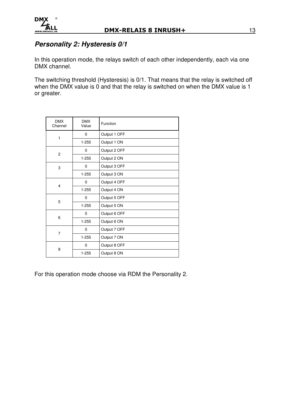

## **Personality 2: Hysteresis 0/1**

In this operation mode, the relays switch of each other independently, each via one DMX channel.

The switching threshold (Hysteresis) is 0/1. That means that the relay is switched off when the DMX value is 0 and that the relay is switched on when the DMX value is 1 or greater.

| <b>DMX</b><br>Channel | <b>DMX</b><br>Value | Function     |
|-----------------------|---------------------|--------------|
|                       | 0                   | Output 1 OFF |
| 1                     | $1 - 255$           | Output 1 ON  |
| $\overline{2}$        | $\mathbf 0$         | Output 2 OFF |
|                       | $1 - 255$           | Output 2 ON  |
| 3                     | 0                   | Output 3 OFF |
|                       | $1 - 255$           | Output 3 ON  |
| 4                     | $\Omega$            | Output 4 OFF |
|                       | $1 - 255$           | Output 4 ON  |
| 5                     | 0                   | Output 5 OFF |
|                       | $1 - 255$           | Output 5 ON  |
| 6                     | 0                   | Output 6 OFF |
|                       | $1 - 255$           | Output 6 ON  |
| 7                     | 0                   | Output 7 OFF |
|                       | $1 - 255$           | Output 7 ON  |
| 8                     | 0                   | Output 8 OFF |
|                       | $1 - 255$           | Output 8 ON  |

For this operation mode choose via RDM the Personality 2.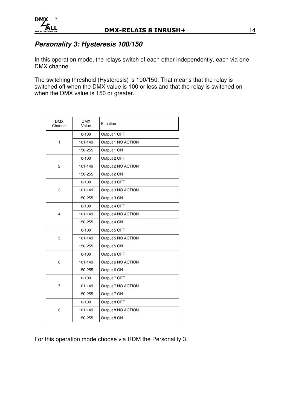## **Personality 3: Hysteresis 100/150**

In this operation mode, the relays switch of each other independently, each via one DMX channel.

The switching threshold (Hysteresis) is 100/150. That means that the relay is switched off when the DMX value is 100 or less and that the relay is switched on when the DMX value is 150 or greater.

| <b>DMX</b><br>Channel | <b>DMX</b><br>Value | Function           |  |  |
|-----------------------|---------------------|--------------------|--|--|
|                       | $0 - 100$           | Output 1 OFF       |  |  |
| 1                     | 101-149             | Output 1 NO ACTION |  |  |
|                       | 150-255             | Output 1 ON        |  |  |
|                       | $0 - 100$           | Output 2 OFF       |  |  |
| 2                     | 101-149             | Output 2 NO ACTION |  |  |
|                       | 150-255             | Output 2 ON        |  |  |
|                       | $0 - 100$           | Output 3 OFF       |  |  |
| 3                     | 101-149             | Output 3 NO ACTION |  |  |
|                       | 150-255             | Output 3 ON        |  |  |
|                       | $0 - 100$           | Output 4 OFF       |  |  |
| 4                     | 101-149             | Output 4 NO ACTION |  |  |
|                       | 150-255             | Output 4 ON        |  |  |
|                       | $0 - 100$           | Output 5 OFF       |  |  |
| 5                     | 101-149             | Output 5 NO ACTION |  |  |
|                       | 150-255             | Output 5 ON        |  |  |
|                       | $0 - 100$           | Output 6 OFF       |  |  |
| 6                     | 101-149             | Output 6 NO ACTION |  |  |
|                       | 150-255             | Output 6 ON        |  |  |
|                       | $0 - 100$           | Output 7 OFF       |  |  |
| 7                     | 101-149             | Output 7 NO ACTION |  |  |
|                       | 150-255             | Output 7 ON        |  |  |
|                       | $0 - 100$           | Output 8 OFF       |  |  |
| 8                     | 101-149             | Output 8 NO ACTION |  |  |
|                       | 150-255             | Output 8 ON        |  |  |

For this operation mode choose via RDM the Personality 3.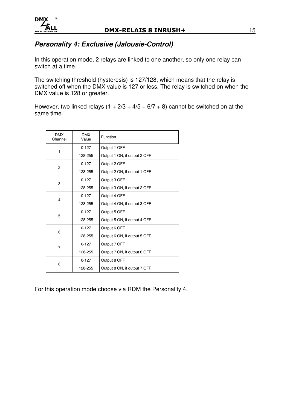

## **Personality 4: Exclusive (Jalousie-Control)**

In this operation mode, 2 relays are linked to one another, so only one relay can switch at a time.

The switching threshold (hysteresis) is 127/128, which means that the relay is switched off when the DMX value is 127 or less. The relay is switched on when the DMX value is 128 or greater.

However, two linked relays  $(1 + 2/3 + 4/5 + 6/7 + 8)$  cannot be switched on at the same time.

| <b>DMX</b><br>Channel | <b>DMX</b><br>Value | Function                     |  |
|-----------------------|---------------------|------------------------------|--|
|                       | $0 - 127$           | Output 1 OFF                 |  |
| 1                     | 128-255             | Output 1 ON, if output 2 OFF |  |
| 2                     | $0 - 127$           | Output 2 OFF                 |  |
|                       | 128-255             | Output 2 ON, if output 1 OFF |  |
| 3                     | $0 - 127$           | Output 3 OFF                 |  |
|                       | 128-255             | Output 3 ON, if output 2 OFF |  |
| 4                     | $0 - 127$           | Output 4 OFF                 |  |
|                       | 128-255             | Output 4 ON, if output 3 OFF |  |
| 5                     | $0 - 127$           | Output 5 OFF                 |  |
|                       | 128-255             | Output 5 ON, if output 4 OFF |  |
| 6                     | $0 - 127$           | Output 6 OFF                 |  |
|                       | 128-255             | Output 6 ON, if output 5 OFF |  |
|                       | $0 - 127$           | Output 7 OFF                 |  |
| $\overline{7}$        | 128-255             | Output 7 ON, if output 6 OFF |  |
| 8                     | $0 - 127$           | Output 8 OFF                 |  |
|                       | 128-255             | Output 8 ON, if output 7 OFF |  |

For this operation mode choose via RDM the Personality 4.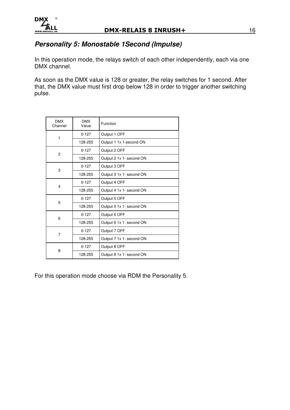

## **Personality 5: Monostable 1Second (Impulse)**

In this operation mode, the relays switch of each other independently, each via one DMX channel.

As soon as the DMX value is 128 or greater, the relay switches for 1 second. After that, the DMX value must first drop below 128 in order to trigger another switching pulse.

| <b>DMX</b><br>Channel | <b>DMX</b><br>Value | Function                 |  |
|-----------------------|---------------------|--------------------------|--|
| 1                     | $0 - 127$           | Output 1 OFF             |  |
|                       | 128-255             | Output 1 1x 1-second ON  |  |
| $\overline{2}$        | $0 - 127$           | Output 2 OFF             |  |
|                       | 128-255             | Output 2 1x 1- second ON |  |
| 3                     | $0 - 127$           | Output 3 OFF             |  |
|                       | 128-255             | Output 3 1x 1- second ON |  |
| 4                     | $0 - 127$           | Output 4 OFF             |  |
|                       | 128-255             | Output 4 1x 1- second ON |  |
| 5                     | $0 - 127$           | Output 5 OFF             |  |
|                       | 128-255             | Output 5 1x 1- second ON |  |
| 6                     | $0 - 127$           | Output 6 OFF             |  |
|                       | 128-255             | Output 6 1x 1- second ON |  |
| 7                     | $0 - 127$           | Output 7 OFF             |  |
|                       | 128-255             | Output 7 1x 1- second ON |  |
| 8                     | $0 - 127$           | Output 8 OFF             |  |
|                       | 128-255             | Output 8 1x 1- second ON |  |

For this operation mode choose via RDM the Personality 5.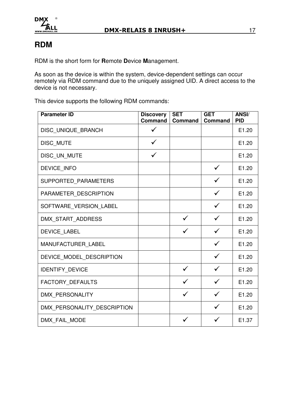

# **RDM**

RDM is the short form for **R**emote **D**evice **M**anagement.

As soon as the device is within the system, device-dependent settings can occur remotely via RDM command due to the uniquely assigned UID. A direct access to the device is not necessary.

This device supports the following RDM commands:

| <b>Parameter ID</b>         | <b>Discovery</b><br><b>Command</b> | <b>SET</b><br><b>Command</b> | <b>GET</b><br>Command | ANSI/<br><b>PID</b> |
|-----------------------------|------------------------------------|------------------------------|-----------------------|---------------------|
| DISC_UNIQUE_BRANCH          | $\checkmark$                       |                              |                       | E1.20               |
| DISC_MUTE                   | $\checkmark$                       |                              |                       | E1.20               |
| DISC UN MUTE                |                                    |                              |                       | E1.20               |
| <b>DEVICE INFO</b>          |                                    |                              | $\checkmark$          | E1.20               |
| SUPPORTED PARAMETERS        |                                    |                              | ✓                     | E1.20               |
| PARAMETER DESCRIPTION       |                                    |                              | $\checkmark$          | E1.20               |
| SOFTWARE VERSION LABEL      |                                    |                              |                       | E1.20               |
| DMX START ADDRESS           |                                    | ✓                            |                       | E1.20               |
| <b>DEVICE LABEL</b>         |                                    | $\checkmark$                 | $\checkmark$          | E1.20               |
| MANUFACTURER LABEL          |                                    |                              | $\checkmark$          | E1.20               |
| DEVICE MODEL DESCRIPTION    |                                    |                              | $\checkmark$          | E1.20               |
| <b>IDENTIFY_DEVICE</b>      |                                    |                              |                       | E1.20               |
| FACTORY_DEFAULTS            |                                    |                              |                       | E1.20               |
| DMX PERSONALITY             |                                    | $\checkmark$                 | $\checkmark$          | E1.20               |
| DMX_PERSONALITY_DESCRIPTION |                                    |                              | ✓                     | E1.20               |
| DMX_FAIL_MODE               |                                    |                              |                       | E1.37               |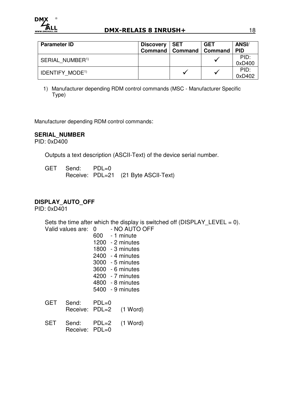

| <b>Parameter ID</b>               | Discovery   SET | Command   Command   Command | <b>GET</b> | <b>ANSI/</b><br><b>PID</b> |
|-----------------------------------|-----------------|-----------------------------|------------|----------------------------|
| SERIAL NUMBER <sup>1)</sup>       |                 |                             |            | PID:<br>0xD400             |
| <b>IDENTIFY MODE<sup>1)</sup></b> |                 | $\checkmark$                |            | PID:<br>0xD402             |

1) Manufacturer depending RDM control commands (MSC - Manufacturer Specific Type)

Manufacturer depending RDM control commands:

#### **SERIAL\_NUMBER**

PID: 0xD400

Outputs a text description (ASCII-Text) of the device serial number.

GET Send: PDL=0 Receive: PDL=21 (21 Byte ASCII-Text)

## **DISPLAY\_AUTO\_OFF**

PID: 0xD401

Sets the time after which the display is switched off ( $DISPLAY_LEVEL = 0$ ).

|            | Valid values are:       | 0<br>600 - | - NO AUTO OFF<br>- 1 minute<br>$1200 - 2$ minutes<br>$1800 - 3$ minutes<br>$2400 - 4$ minutes<br>3000 - 5 minutes<br>3600 - 6 minutes<br>4200 - 7 minutes<br>4800 - 8 minutes |
|------------|-------------------------|------------|-------------------------------------------------------------------------------------------------------------------------------------------------------------------------------|
| <b>GET</b> | Send:<br>Receive: PDL=2 | $PDL=0$    | 5400 - 9 minutes<br>$(1$ Word)                                                                                                                                                |
| <b>SET</b> | Send:<br>Receive: PDL=0 | $PDL=2$    | $(1$ Word)                                                                                                                                                                    |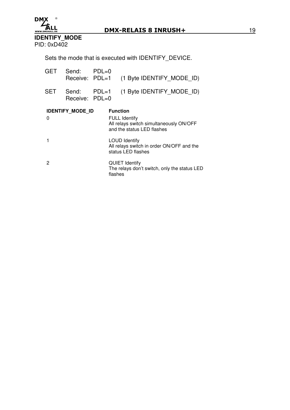

**IDENTIFY\_MODE**  PID: 0xD402

Sets the mode that is executed with IDENTIFY\_DEVICE.

| <b>GET</b> | Send: PDL=0<br>Receive: PDL=1 |       | (1 Byte IDENTIFY MODE ID)                                                                                        |
|------------|-------------------------------|-------|------------------------------------------------------------------------------------------------------------------|
| <b>SET</b> | Send:<br>Receive: PDL=0       | PDL=1 | (1 Byte IDENTIFY MODE ID)                                                                                        |
| 0          | <b>IDENTIFY MODE ID</b>       |       | <b>Function</b><br><b>FULL Identify</b><br>All relays switch simultaneously ON/OFF<br>and the status LED flashes |
|            |                               |       | <b>LOUD Identify</b><br>All relays switch in order ON/OFF and the<br>status LED flashes                          |
| 2          |                               |       | <b>QUIET Identify</b><br>The relays don't switch, only the status LED<br>flashes                                 |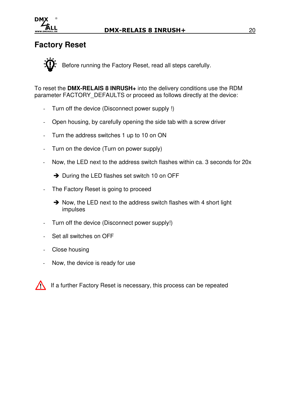

## **Factory Reset**

Before running the Factory Reset, read all steps carefully.

To reset the **DMX-RELAIS 8 INRUSH+** into the delivery conditions use the RDM parameter FACTORY DEFAULTS or proceed as follows directly at the device:

- Turn off the device (Disconnect power supply !)
- Open housing, by carefully opening the side tab with a screw driver
- Turn the address switches 1 up to 10 on ON
- Turn on the device (Turn on power supply)
- Now, the LED next to the address switch flashes within ca. 3 seconds for 20x

 $\rightarrow$  During the LED flashes set switch 10 on OFF

- The Factory Reset is going to proceed
	- $\rightarrow$  Now, the LED next to the address switch flashes with 4 short light impulses
- Turn off the device (Disconnect power supply!)
- Set all switches on OFF
- Close housing
- Now, the device is ready for use

If a further Factory Reset is necessary, this process can be repeated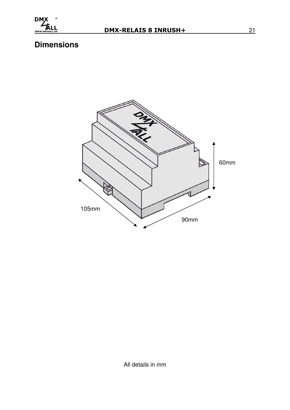

# **Dimensions**



All details in mm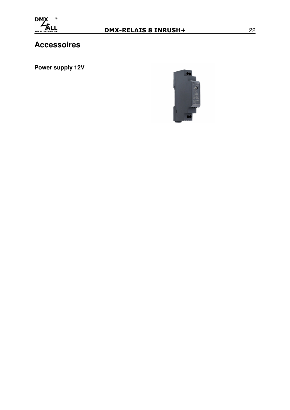

# **Accessoires**

**Power supply 12V** 

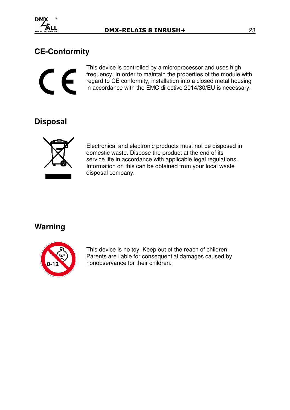

# **CE-Conformity**



This device is controlled by a microprocessor and uses high frequency. In order to maintain the properties of the module with regard to CE conformity, installation into a closed metal housing in accordance with the EMC directive 2014/30/EU is necessary.

# **Disposal**



 Electronical and electronic products must not be disposed in domestic waste. Dispose the product at the end of its service life in accordance with applicable legal regulations. Information on this can be obtained from your local waste disposal company.

## **Warning**



 This device is no toy. Keep out of the reach of children. Parents are liable for consequential damages caused by nonobservance for their children.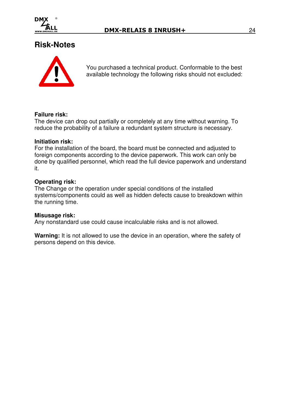

## **Risk-Notes**



You purchased a technical product. Conformable to the best available technology the following risks should not excluded:

## **Failure risk:**

The device can drop out partially or completely at any time without warning. To reduce the probability of a failure a redundant system structure is necessary.

#### **Initiation risk:**

For the installation of the board, the board must be connected and adjusted to foreign components according to the device paperwork. This work can only be done by qualified personnel, which read the full device paperwork and understand it.

#### **Operating risk:**

The Change or the operation under special conditions of the installed systems/components could as well as hidden defects cause to breakdown within the running time.

#### **Misusage risk:**

Any nonstandard use could cause incalculable risks and is not allowed.

**Warning:** It is not allowed to use the device in an operation, where the safety of persons depend on this device.